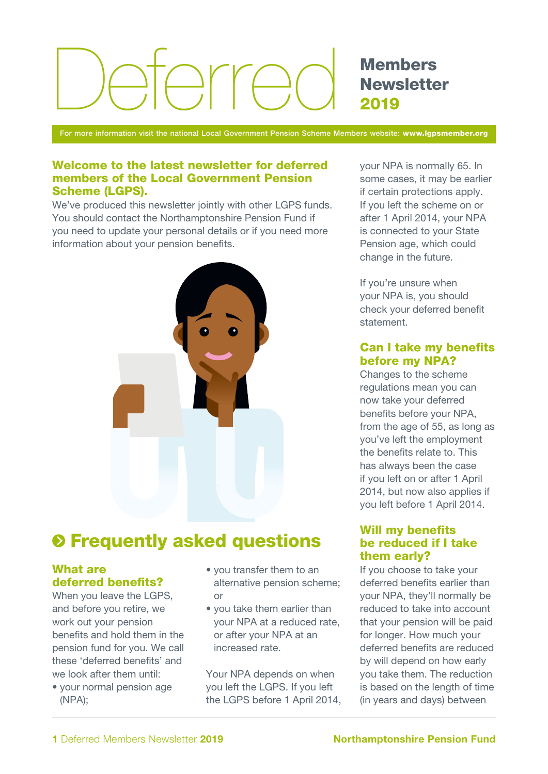# $\supset$ rr $\cap$

Members **Newsletter** 2019

For more information visit the national Local Government Pension Scheme Members website: www.lgpsmember.org

#### Welcome to the latest newsletter for deferred members of the Local Government Pension Scheme (LGPS).

We've produced this newsletter jointly with other LGPS funds. You should contact the Northamptonshire Pension Fund if you need to update your personal details or if you need more information about your pension benefits.



# $\odot$  **Frequently asked questions**

# What are deferred benefits?

When you leave the LGPS, and before you retire, we work out your pension benefits and hold them in the pension fund for you. We call these 'deferred benefits' and we look after them until:

• your normal pension age (NPA);

- you transfer them to an alternative pension scheme; or
- you take them earlier than your NPA at a reduced rate, or after your NPA at an increased rate.

Your NPA depends on when you left the LGPS. If you left the LGPS before 1 April 2014, your NPA is normally 65. In some cases, it may be earlier if certain protections apply. If you left the scheme on or after 1 April 2014, your NPA is connected to your State Pension age, which could change in the future.

If you're unsure when your NPA is, you should check your deferred benefit statement.

## Can I take my benefits before my NPA?

Changes to the scheme regulations mean you can now take your deferred benefits before your NPA, from the age of 55, as long as you've left the employment the benefits relate to. This has always been the case if you left on or after 1 April 2014, but now also applies if you left before 1 April 2014.

# Will my benefits be reduced if I take them early?

If you choose to take your deferred benefits earlier than your NPA, they'll normally be reduced to take into account that your pension will be paid for longer. How much your deferred benefits are reduced by will depend on how early you take them. The reduction is based on the length of time (in years and days) between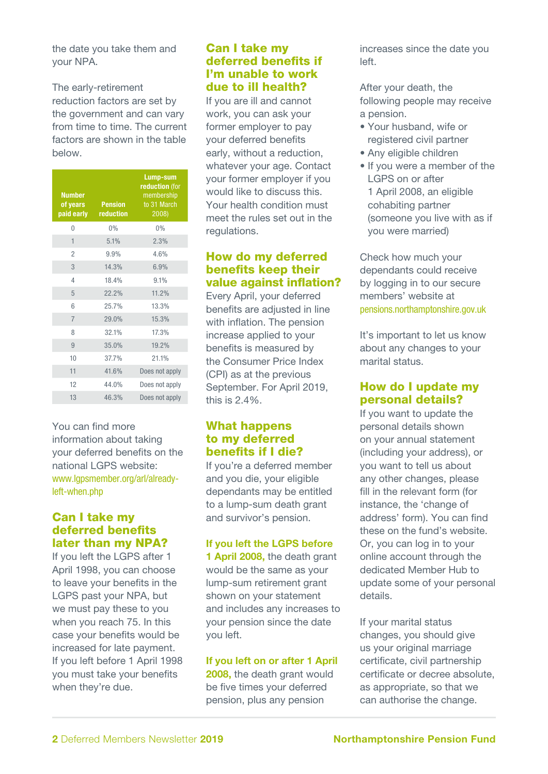the date you take them and your NPA.

The early-retirement reduction factors are set by the government and can vary from time to time. The current factors are shown in the table below.

| <b>Number</b><br>of years<br>paid early | <b>Pension</b><br>reduction | Lump-sum<br>reduction (for<br>membership<br>to 31 March<br>2008) |
|-----------------------------------------|-----------------------------|------------------------------------------------------------------|
| $\overline{0}$                          | 0%                          | 0%                                                               |
| 1                                       | 5.1%                        | 2.3%                                                             |
| $\overline{2}$                          | 9.9%                        | 4.6%                                                             |
| 3                                       | 14.3%                       | 6.9%                                                             |
| 4                                       | 18.4%                       | 9.1%                                                             |
| 5                                       | 22.2%                       | 11.2%                                                            |
| 6                                       | 25.7%                       | 13.3%                                                            |
| $\overline{7}$                          | 29.0%                       | 15.3%                                                            |
| 8                                       | 32.1%                       | 17.3%                                                            |
| 9                                       | 35.0%                       | 19.2%                                                            |
| 10                                      | 37.7%                       | 21.1%                                                            |
| 11                                      | 41.6%                       | Does not apply                                                   |
| 12                                      | 44.0%                       | Does not apply                                                   |
| 13                                      | 46.3%                       | Does not apply                                                   |

You can find more information about taking your deferred benefits on the national LGPS website: www.lgpsmember.org/arl/alreadyleft-when.php

## Can I take my deferred benefits later than my NPA?

If you left the LGPS after 1 April 1998, you can choose to leave your benefits in the LGPS past your NPA, but we must pay these to you when you reach 75. In this case your benefits would be increased for late payment. If you left before 1 April 1998 you must take your benefits when they're due.

#### Can I take my deferred benefits if I'm unable to work due to ill health?

If you are ill and cannot work, you can ask your former employer to pay your deferred benefits early, without a reduction, whatever your age. Contact your former employer if you would like to discuss this. Your health condition must meet the rules set out in the regulations.

# How do my deferred benefits keep their value against inflation?

Every April, your deferred benefits are adjusted in line with inflation. The pension increase applied to your benefits is measured by the Consumer Price Index (CPI) as at the previous September. For April 2019, this is 2.4%.

# What happens to my deferred benefits if I die?

If you're a deferred member and you die, your eligible dependants may be entitled to a lump-sum death grant and survivor's pension.

# If you left the LGPS before

1 April 2008, the death grant would be the same as your lump-sum retirement grant shown on your statement and includes any increases to your pension since the date you left.

#### If you left on or after 1 April

2008, the death grant would be five times your deferred pension, plus any pension

increases since the date you left.

After your death, the following people may receive a pension.

- Your husband, wife or registered civil partner
- Any eligible children
- If you were a member of the LGPS on or after 1 April 2008, an eligible cohabiting partner (someone you live with as if you were married)

Check how much your dependants could receive by logging in to our secure members' website at pensions.northamptonshire.gov.uk

It's important to let us know about any changes to your marital status.

# How do I update my personal details?

If you want to update the personal details shown on your annual statement (including your address), or you want to tell us about any other changes, please fill in the relevant form (for instance, the 'change of address' form). You can find these on the fund's website. Or, you can log in to your online account through the dedicated Member Hub to update some of your personal details.

If your marital status changes, you should give us your original marriage certificate, civil partnership certificate or decree absolute, as appropriate, so that we can authorise the change.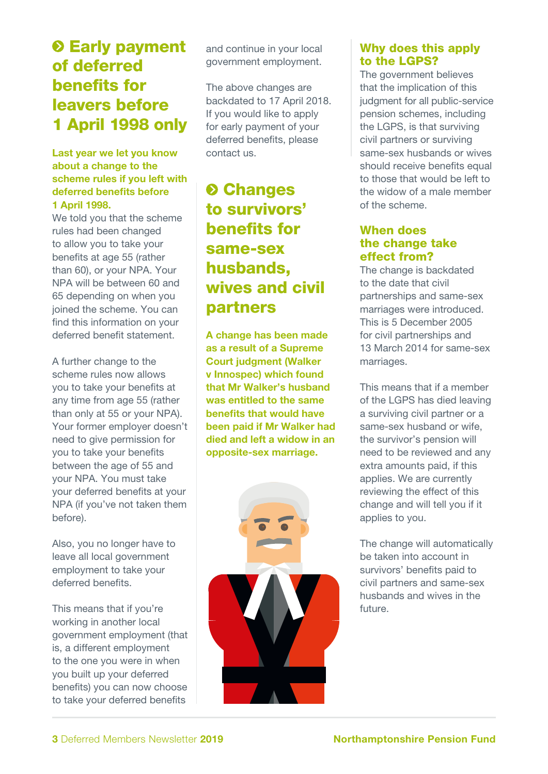# $\odot$  **Early payment** of deferred benefits for leavers before 1 April 1998 only

#### Last year we let you know about a change to the scheme rules if you left with deferred benefits before 1 April 1998.

We told you that the scheme rules had been changed to allow you to take your benefits at age 55 (rather than 60), or your NPA. Your NPA will be between 60 and 65 depending on when you joined the scheme. You can find this information on your deferred benefit statement.

A further change to the scheme rules now allows you to take your benefits at any time from age 55 (rather than only at 55 or your NPA). Your former employer doesn't need to give permission for you to take your benefits between the age of 55 and your NPA. You must take your deferred benefits at your NPA (if you've not taken them before).

Also, you no longer have to leave all local government employment to take your deferred benefits.

This means that if you're working in another local government employment (that is, a different employment to the one you were in when you built up your deferred benefits) you can now choose to take your deferred benefits

and continue in your local government employment.

The above changes are backdated to 17 April 2018. If you would like to apply for early payment of your deferred benefits, please contact us.

# **<sup>O</sup>** Changes to survivors' benefits for same-sex husbands, wives and civil partners

A change has been made as a result of a Supreme Court judgment (Walker v Innospec) which found that Mr Walker's husband was entitled to the same benefits that would have been paid if Mr Walker had died and left a widow in an opposite-sex marriage.



# Why does this apply to the LGPS?

The government believes that the implication of this judgment for all public-service pension schemes, including the LGPS, is that surviving civil partners or surviving same-sex husbands or wives should receive benefits equal to those that would be left to the widow of a male member of the scheme.

# When does the change take effect from?

The change is backdated to the date that civil partnerships and same-sex marriages were introduced. This is 5 December 2005 for civil partnerships and 13 March 2014 for same-sex marriages.

This means that if a member of the LGPS has died leaving a surviving civil partner or a same-sex husband or wife, the survivor's pension will need to be reviewed and any extra amounts paid, if this applies. We are currently reviewing the effect of this change and will tell you if it applies to you.

The change will automatically be taken into account in survivors' benefits paid to civil partners and same-sex husbands and wives in the future.